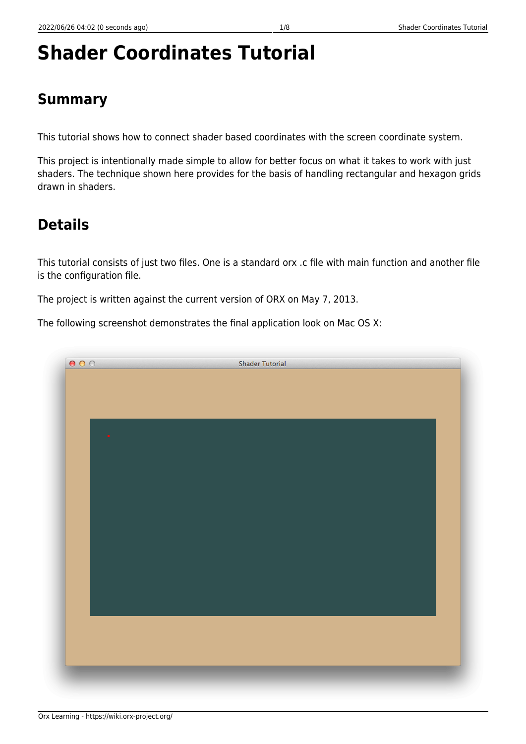# **Shader Coordinates Tutorial**

### **Summary**

This tutorial shows how to connect shader based coordinates with the screen coordinate system.

This project is intentionally made simple to allow for better focus on what it takes to work with just shaders. The technique shown here provides for the basis of handling rectangular and hexagon grids drawn in shaders.

### **Details**

This tutorial consists of just two files. One is a standard orx .c file with main function and another file is the configuration file.

The project is written against the current version of ORX on May 7, 2013.

The following screenshot demonstrates the final application look on Mac OS X:

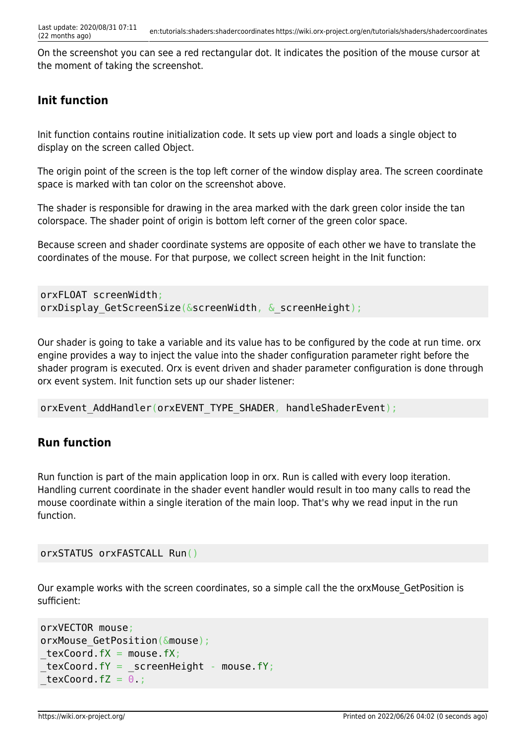On the screenshot you can see a red rectangular dot. It indicates the position of the mouse cursor at the moment of taking the screenshot.

### **Init function**

Init function contains routine initialization code. It sets up view port and loads a single object to display on the screen called Object.

The origin point of the screen is the top left corner of the window display area. The screen coordinate space is marked with tan color on the screenshot above.

The shader is responsible for drawing in the area marked with the dark green color inside the tan colorspace. The shader point of origin is bottom left corner of the green color space.

Because screen and shader coordinate systems are opposite of each other we have to translate the coordinates of the mouse. For that purpose, we collect screen height in the Init function:

```
orxFLOAT screenWidth;
orxDisplay GetScreenSize(&screenWidth, & screenHeight);
```
Our shader is going to take a variable and its value has to be configured by the code at run time. orx engine provides a way to inject the value into the shader configuration parameter right before the shader program is executed. Orx is event driven and shader parameter configuration is done through orx event system. Init function sets up our shader listener:

orxEvent AddHandler(orxEVENT\_TYPE\_SHADER, handleShaderEvent);

### **Run function**

Run function is part of the main application loop in orx. Run is called with every loop iteration. Handling current coordinate in the shader event handler would result in too many calls to read the mouse coordinate within a single iteration of the main loop. That's why we read input in the run function.

orxSTATUS orxFASTCALL Run()

Our example works with the screen coordinates, so a simple call the the orxMouse\_GetPosition is sufficient:

```
orxVECTOR mouse;
orxMouse GetPosition(&mouse);
text{texCoord.fX = mouse.fX};text{tex} fY = screenHeight - mouse.fY;text{Covd}.fZ = 0;
```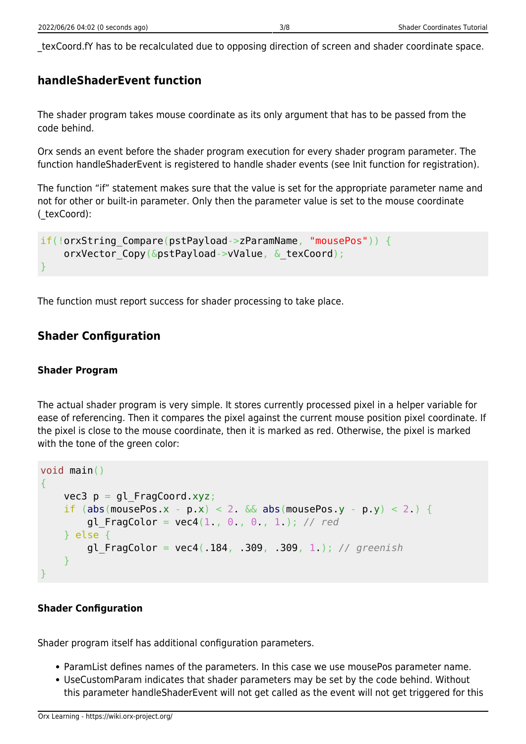\_texCoord.fY has to be recalculated due to opposing direction of screen and shader coordinate space.

#### **handleShaderEvent function**

The shader program takes mouse coordinate as its only argument that has to be passed from the code behind.

Orx sends an event before the shader program execution for every shader program parameter. The function handleShaderEvent is registered to handle shader events (see Init function for registration).

The function "if" statement makes sure that the value is set for the appropriate parameter name and not for other or built-in parameter. Only then the parameter value is set to the mouse coordinate (\_texCoord):

```
if(!orxString Compare(pstPayload->zParamName, "mousePos")) {
    orxVector Copy(&pstPayload->vValue, & texCoord);
}
```
The function must report success for shader processing to take place.

#### **Shader Configuration**

#### **Shader Program**

The actual shader program is very simple. It stores currently processed pixel in a helper variable for ease of referencing. Then it compares the pixel against the current mouse position pixel coordinate. If the pixel is close to the mouse coordinate, then it is marked as red. Otherwise, the pixel is marked with the tone of the green color:

```
void main()
{
    vec3 p = gl_FragCoord.xyz;abs(mousePos.x - p.x) < 2. \&abs(mousePos.y - p.y) < 2.) {
        gl\;FragColor = vec4(1., 0., 0., 1.); // red } else {
         gl_FragColor = vec4(.184, .309, .309, 1.); // greenish
\qquad \qquad \}}
```
#### **Shader Configuration**

Shader program itself has additional configuration parameters.

- ParamList defines names of the parameters. In this case we use mousePos parameter name.
- UseCustomParam indicates that shader parameters may be set by the code behind. Without this parameter handleShaderEvent will not get called as the event will not get triggered for this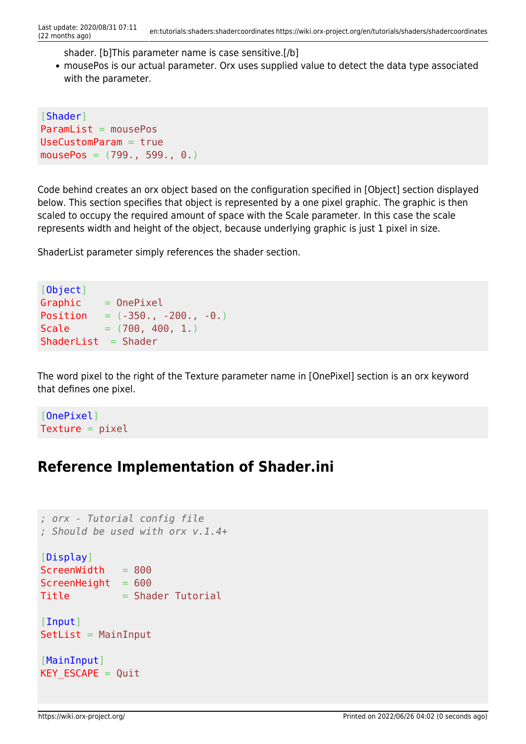shader. [b]This parameter name is case sensitive.[/b]

mousePos is our actual parameter. Orx uses supplied value to detect the data type associated with the parameter.

[Shader]  $ParamList = mousePos$ UseCustomParam = true  $mousePos = (799., 599., 0.)$ 

Code behind creates an orx object based on the configuration specified in [Object] section displayed below. This section specifies that object is represented by a one pixel graphic. The graphic is then scaled to occupy the required amount of space with the Scale parameter. In this case the scale represents width and height of the object, because underlying graphic is just 1 pixel in size.

ShaderList parameter simply references the shader section.

```
[Object]
Graphic = OnepixelPosition = (-350., -200., -0.)Scale = (700, 400, 1.)ShaderList = Shader
```
The word pixel to the right of the Texture parameter name in [OnePixel] section is an orx keyword that defines one pixel.

[OnePixel]  $Texture = pixel$ 

### **Reference Implementation of Shader.ini**

```
; orx - Tutorial config file
; Should be used with orx v.1.4+
[Display]
ScreenWidth = 800
ScreenHeight = 600Title = Shader Tutorial
[Input]
SetList = MainInput[MainInput]
KEY ESCAPE = Quit
```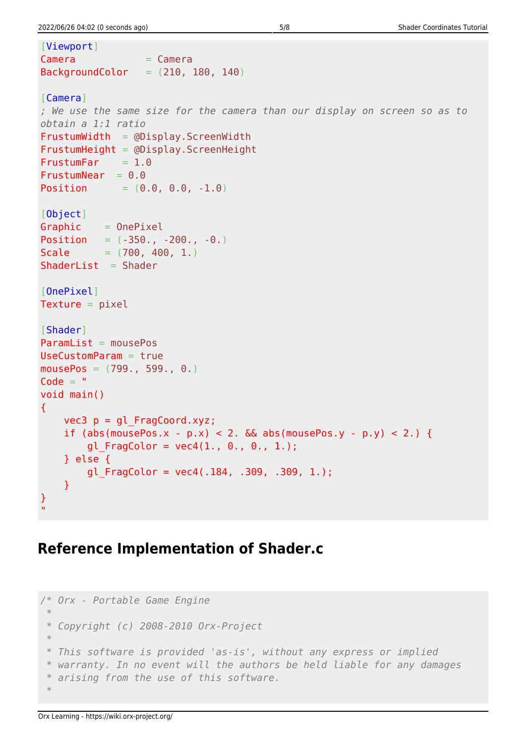```
[Viewport]
Camera = Camera
BackgroundColor = (210, 180, 140)[Camera]
; We use the same size for the camera than our display on screen so as to
obtain a 1:1 ratio
FrustumWidth = @Display.ScreenWidthFrustumHeight = @Display.ScreenHeight
FrustumFar = <math>1.0</math>FrustumNear = 0.0Position = (0.0, 0.0, -1.0)[Object]
Graphic = OnepixelPosition = (-350, -200, -0)Scale = (700, 400, 1.)ShaderList = Shader[OnePixel]
Texture = pixel[Shader]
ParamList = mousePos
UseCustomParam = true
mousePos = (799., 599., 0.)Code = "void main()
{
   vec3 p = ql FragCoord.xyz;
   if (abs(mousePos.x - p.x) < 2. \& abs(mousePos.y - p.y) < 2.) {
       gl_FragColor = vec4(1., 0., 0., 1.);
    } else {
       gl FragColor = vec4(.184, .309, .309, 1.);
    }
}
.<br>"
```
## **Reference Implementation of Shader.c**

```
/* Orx - Portable Game Engine
 *
 * Copyright (c) 2008-2010 Orx-Project
 *
  * This software is provided 'as-is', without any express or implied
  * warranty. In no event will the authors be held liable for any damages
  * arising from the use of this software.
 *
```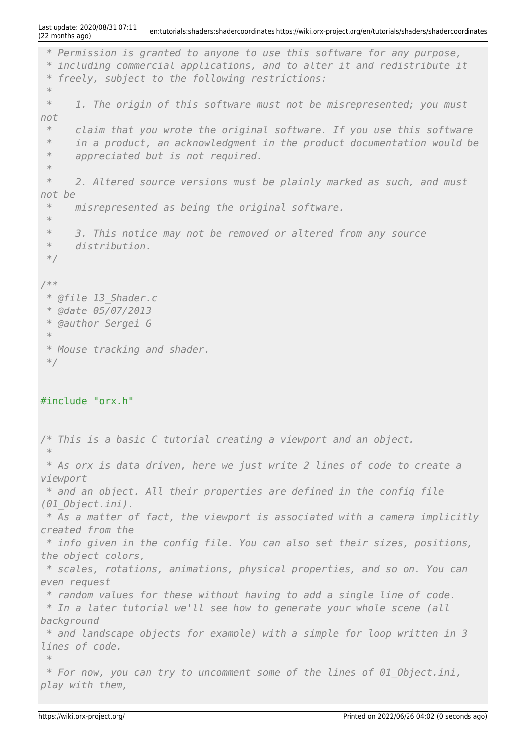```
 * Permission is granted to anyone to use this software for any purpose,
 * including commercial applications, and to alter it and redistribute it
 * freely, subject to the following restrictions:
 *
 * 1. The origin of this software must not be misrepresented; you must
not
 * claim that you wrote the original software. If you use this software
 * in a product, an acknowledgment in the product documentation would be
 * appreciated but is not required.
 *
 * 2. Altered source versions must be plainly marked as such, and must
not be
 * misrepresented as being the original software.
 *
 * 3. This notice may not be removed or altered from any source
 * distribution.
 */
/**
 * @file 13_Shader.c
 * @date 05/07/2013
 * @author Sergei G
 *
 * Mouse tracking and shader.
 */
#include "orx.h"
/* This is a basic C tutorial creating a viewport and an object.
 *
 * As orx is data driven, here we just write 2 lines of code to create a
viewport
 * and an object. All their properties are defined in the config file
(01_Object.ini).
 * As a matter of fact, the viewport is associated with a camera implicitly
created from the
 * info given in the config file. You can also set their sizes, positions,
the object colors,
 * scales, rotations, animations, physical properties, and so on. You can
even request
 * random values for these without having to add a single line of code.
 * In a later tutorial we'll see how to generate your whole scene (all
background
 * and landscape objects for example) with a simple for loop written in 3
lines of code.
 *
 * For now, you can try to uncomment some of the lines of 01_Object.ini,
```

```
play with them,
```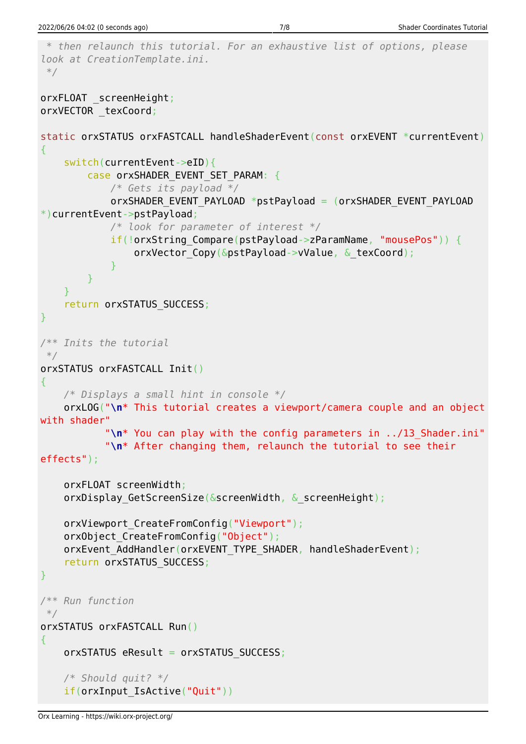```
 * then relaunch this tutorial. For an exhaustive list of options, please
look at CreationTemplate.ini.
 */
orxFLOAT screenHeight;
orxVECTOR _texCoord;
static orxSTATUS orxFASTCALL handleShaderEvent(const orxEVENT *currentEvent)
{
     switch(currentEvent->eID){
        case orxSHADER EVENT SET PARAM: {
             /* Gets its payload */
            orxSHADER EVENT PAYLOAD *pstPayload = (orxSHADER EVENT PAYLOAD
*)currentEvent->pstPayload;
             /* look for parameter of interest */
            if(!orxString Compare(pstPayload->zParamName, "mousePos")) {
                orxVector Copy(&pstPayload->vValue, & texCoord);
 }
 }
     }
    return orxSTATUS SUCCESS;
}
/** Inits the tutorial
 */
orxSTATUS orxFASTCALL Init()
{
     /* Displays a small hint in console */
     orxLOG("\n* This tutorial creates a viewport/camera couple and an object
with shader"
            "\n* You can play with the config parameters in ../13_Shader.ini"
            "\n* After changing them, relaunch the tutorial to see their
effects");
     orxFLOAT screenWidth;
    orxDisplay GetScreenSize(&screenWidth, & screenHeight);
    orxViewport CreateFromConfig("Viewport");
     orxObject_CreateFromConfig("Object");
    orxEvent AddHandler(orxEVENT_TYPE_SHADER, handleShaderEvent);
    return orxSTATUS SUCCESS;
}
/** Run function
 */
orxSTATUS orxFASTCALL Run()
{
    orxSTATUS eResult = orxSTATUS SUCCESS;
     /* Should quit? */
     if(orxInput_IsActive("Quit"))
```